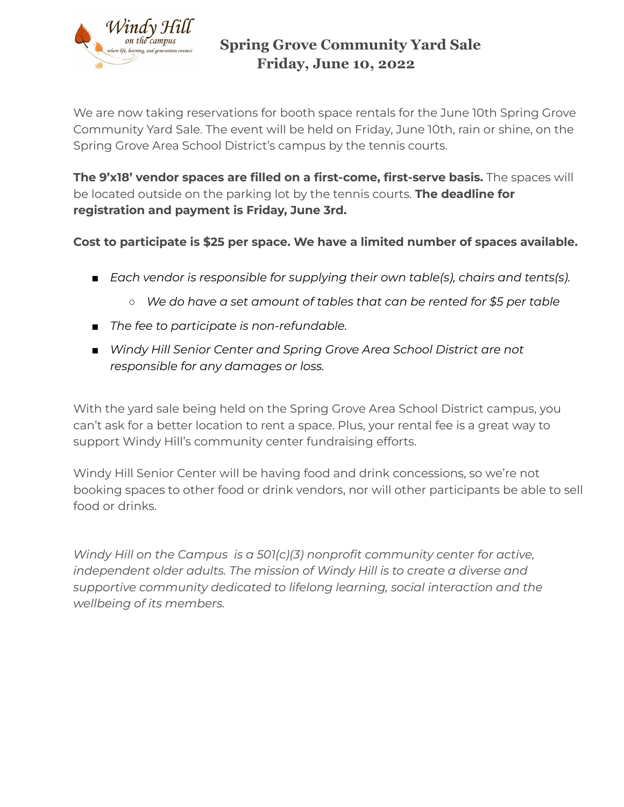

## **Spring Grove Community Yard Sale Friday, June 10, 2022**

We are now taking reservations for booth space rentals for the June 10th Spring Grove Community Yard Sale. The event will be held on Friday, June 10th, rain or shine, on the Spring Grove Area School District's campus by the tennis courts.

**The 9'x18' vendor spaces are filled on a first-come, first-serve basis.** The spaces will be located outside on the parking lot by the tennis courts. **The deadline for registration and payment is Friday, June 3rd.**

**Cost to participate is \$25 per space. We have a limited number of spaces available.**

- *Each vendor is responsible for supplying their own table(s), chairs and tents(s).*
	- *○ We do have a set amount of tables that can be rented for \$5 per table*
- *The fee to participate is non-refundable.*
- *Windy Hill Senior Center and Spring Grove Area School District are not responsible for any damages or loss.*

With the yard sale being held on the Spring Grove Area School District campus, you can't ask for a better location to rent a space. Plus, your rental fee is a great way to support Windy Hill's community center fundraising efforts.

Windy Hill Senior Center will be having food and drink concessions, so we're not booking spaces to other food or drink vendors, nor will other participants be able to sell food or drinks.

*Windy Hill on the Campus is a 501(c)(3) nonprofit community center for active, independent older adults. The mission of Windy Hill is to create a diverse and supportive community dedicated to lifelong learning, social interaction and the wellbeing of its members.*